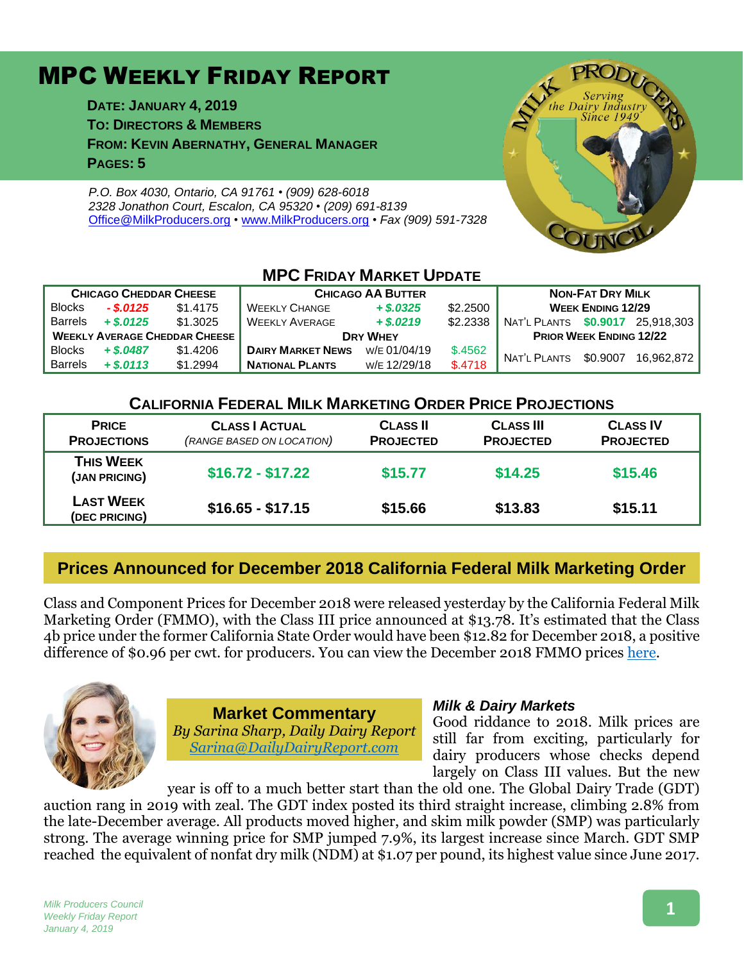# MPC WEEKLY FRIDAY REPORT

**DATE: JANUARY 4, 2019 TO: DIRECTORS & MEMBERS FROM: KEVIN ABERNATHY, GENERAL MANAGER PAGES: 5**

*P.O. Box 4030, Ontario, CA 91761 • (909) 628-6018 2328 Jonathon Court, Escalon, CA 95320 • (209) 691-8139* [Office@MilkProducers.org](mailto:office@milkproducers.org) *•* [www.MilkProducers.org](http://www.milkproducers.org/) *• Fax (909) 591-7328*



| <b>MPC FRIDAY MARKET UPDATE</b>      |             |          |                          |              |          |                                  |                          |            |
|--------------------------------------|-------------|----------|--------------------------|--------------|----------|----------------------------------|--------------------------|------------|
| <b>CHICAGO CHEDDAR CHEESE</b>        |             |          | <b>CHICAGO AA BUTTER</b> |              |          | <b>NON-FAT DRY MILK</b>          |                          |            |
| <b>Blocks</b>                        | $-$ \$.0125 | \$1,4175 | <b>WEEKLY CHANGE</b>     | $+$ \$.0325  | \$2,2500 |                                  | <b>WEEK ENDING 12/29</b> |            |
| <b>Barrels</b>                       | $+$ \$.0125 | \$1.3025 | <b>WEEKLY AVERAGE</b>    | $+ $.0219$   | \$2.2338 | NAT'L PLANTS \$0.9017 25,918,303 |                          |            |
| <b>WEEKLY AVERAGE CHEDDAR CHEESE</b> |             |          | <b>DRY WHEY</b>          |              |          | <b>PRIOR WEEK ENDING 12/22</b>   |                          |            |
| <b>Blocks</b>                        | $+$ \$.0487 | \$1,4206 | <b>DAIRY MARKET NEWS</b> | W/E 01/04/19 | \$.4562  | NAT'L PLANTS                     | \$0.9007                 | 16.962.872 |
| <b>Barrels</b>                       | $+$ \$.0113 | \$1.2994 | <b>NATIONAL PLANTS</b>   | W/E 12/29/18 | \$.4718  |                                  |                          |            |

#### **CALIFORNIA FEDERAL MILK MARKETING ORDER PRICE PROJECTIONS**

| <b>PRICE</b><br><b>PROJECTIONS</b> | <b>CLASS   ACTUAL</b><br>(RANGE BASED ON LOCATION) | <b>CLASS II</b><br><b>PROJECTED</b> | <b>CLASS III</b><br><b>PROJECTED</b> | <b>CLASS IV</b><br><b>PROJECTED</b> |
|------------------------------------|----------------------------------------------------|-------------------------------------|--------------------------------------|-------------------------------------|
| <b>THIS WEEK</b><br>(JAN PRICING)  | $$16.72 - $17.22$                                  | \$15.77                             | \$14.25                              | \$15,46                             |
| <b>LAST WEEK</b><br>(DEC PRICING)  | $$16.65 - $17.15$                                  | \$15.66                             | \$13.83                              | \$15.11                             |

## **Prices Announced for December 2018 California Federal Milk Marketing Order**

Class and Component Prices for December 2018 were released yesterday by the California Federal Milk Marketing Order (FMMO), with the Class III price announced at \$13.78. It's estimated that the Class 4b price under the former California State Order would have been \$12.82 for December 2018, a positive difference of \$0.96 per cwt. for producers. You can view the December 2018 FMMO prices [here.](https://www.cafmmo.com/download-file/?s=true&folderMap=prices.class&fileName=2018%2f201812+Class+Prices.pdf&ia=inline)



**Market Commentary** *By Sarina Sharp, Daily Dairy Report [Sarina@DailyDairyReport.com](mailto:Sarina@DailyDairyReport.com)*

#### *Milk & Dairy Markets*

Good riddance to 2018. Milk prices are still far from exciting, particularly for dairy producers whose checks depend largely on Class III values. But the new

year is off to a much better start than the old one. The Global Dairy Trade (GDT) auction rang in 2019 with zeal. The GDT index posted its third straight increase, climbing 2.8% from the late-December average. All products moved higher, and skim milk powder (SMP) was particularly strong. The average winning price for SMP jumped 7.9%, its largest increase since March. GDT SMP reached the equivalent of nonfat dry milk (NDM) at \$1.07 per pound, its highest value since June 2017.

#### **1**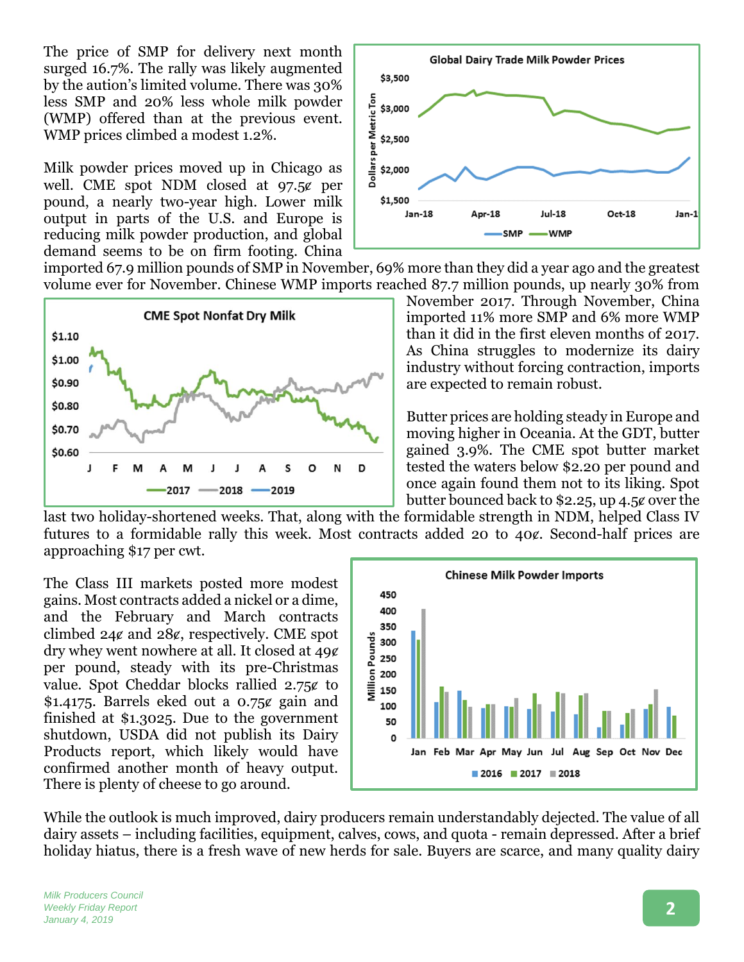The price of SMP for delivery next month surged 16.7%. The rally was likely augmented by the aution's limited volume. There was 30% less SMP and 20% less whole milk powder (WMP) offered than at the previous event. WMP prices climbed a modest 1.2%.

Milk powder prices moved up in Chicago as well. CME spot NDM closed at  $97.5¢$  per pound, a nearly two-year high. Lower milk output in parts of the U.S. and Europe is reducing milk powder production, and global demand seems to be on firm footing. China



imported 67.9 million pounds of SMP in November, 69% more than they did a year ago and the greatest volume ever for November. Chinese WMP imports reached 87.7 million pounds, up nearly 30% from



November 2017. Through November, China imported 11% more SMP and 6% more WMP than it did in the first eleven months of 2017. As China struggles to modernize its dairy industry without forcing contraction, imports are expected to remain robust.

Butter prices are holding steady in Europe and moving higher in Oceania. At the GDT, butter gained 3.9%. The CME spot butter market tested the waters below \$2.20 per pound and once again found them not to its liking. Spot butter bounced back to \$2.25, up 4.5ȼ over the

last two holiday-shortened weeks. That, along with the formidable strength in NDM, helped Class IV futures to a formidable rally this week. Most contracts added 20 to 40¢. Second-half prices are approaching \$17 per cwt.

The Class III markets posted more modest gains. Most contracts added a nickel or a dime, and the February and March contracts climbed  $24¢$  and  $28¢$ , respectively. CME spot dry whey went nowhere at all. It closed at  $49¢$ per pound, steady with its pre-Christmas value. Spot Cheddar blocks rallied  $2.75¢$  to \$1.4175. Barrels eked out a  $0.75$ ¢ gain and finished at \$1.3025. Due to the government shutdown, USDA did not publish its Dairy Products report, which likely would have confirmed another month of heavy output. There is plenty of cheese to go around.



While the outlook is much improved, dairy producers remain understandably dejected. The value of all dairy assets – including facilities, equipment, calves, cows, and quota - remain depressed. After a brief holiday hiatus, there is a fresh wave of new herds for sale. Buyers are scarce, and many quality dairy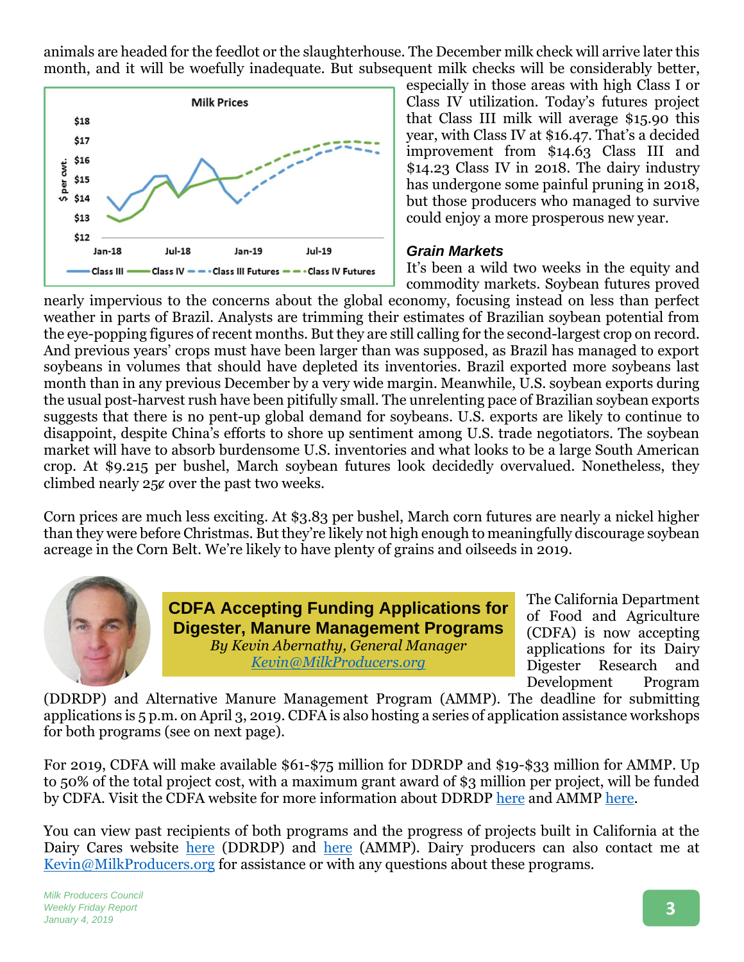animals are headed for the feedlot or the slaughterhouse. The December milk check will arrive later this month, and it will be woefully inadequate. But subsequent milk checks will be considerably better,



especially in those areas with high Class I or Class IV utilization. Today's futures project that Class III milk will average \$15.90 this year, with Class IV at \$16.47. That's a decided improvement from \$14.63 Class III and \$14.23 Class IV in 2018. The dairy industry has undergone some painful pruning in 2018, but those producers who managed to survive could enjoy a more prosperous new year.

#### *Grain Markets*

It's been a wild two weeks in the equity and commodity markets. Soybean futures proved

nearly impervious to the concerns about the global economy, focusing instead on less than perfect weather in parts of Brazil. Analysts are trimming their estimates of Brazilian soybean potential from the eye-popping figures of recent months. But they are still calling for the second-largest crop on record. And previous years' crops must have been larger than was supposed, as Brazil has managed to export soybeans in volumes that should have depleted its inventories. Brazil exported more soybeans last month than in any previous December by a very wide margin. Meanwhile, U.S. soybean exports during the usual post-harvest rush have been pitifully small. The unrelenting pace of Brazilian soybean exports suggests that there is no pent-up global demand for soybeans. U.S. exports are likely to continue to disappoint, despite China's efforts to shore up sentiment among U.S. trade negotiators. The soybean market will have to absorb burdensome U.S. inventories and what looks to be a large South American crop. At \$9.215 per bushel, March soybean futures look decidedly overvalued. Nonetheless, they climbed nearly 25ȼ over the past two weeks.

Corn prices are much less exciting. At \$3.83 per bushel, March corn futures are nearly a nickel higher than they were before Christmas. But they're likely not high enough to meaningfully discourage soybean acreage in the Corn Belt. We're likely to have plenty of grains and oilseeds in 2019.



**CDFA Accepting Funding Applications for Digester, Manure Management Programs** *By Kevin Abernathy, General Manager Kevin@MilkProducers.org*

The California Department of Food and Agriculture (CDFA) is now accepting applications for its Dairy Digester Research and Development Program

(DDRDP) and Alternative Manure Management Program (AMMP). The deadline for submitting applications is 5 p.m. on April 3, 2019. CDFA is also hosting a series of application assistance workshops for both programs (see on next page).

For 2019, CDFA will make available \$61-\$75 million for DDRDP and \$19-\$33 million for AMMP. Up to 50% of the total project cost, with a maximum grant award of \$3 million per project, will be funded by CDFA. Visit the CDFA website for more information about DDRDP [here](https://www.cdfa.ca.gov/oefi/ddrdp/) and AMMP [here.](https://www.cdfa.ca.gov/oefi/ammp/)

You can view past recipients of both programs and the progress of projects built in California at the Dairy Cares website [here](https://www.dairycares.com/alternative-manure-management) (DDRDP) and here (AMMP). Dairy producers can also contact me at [Kevin@MilkProducers.org](mailto:Kevin@MilkProducers.org) for assistance or with any questions about these programs.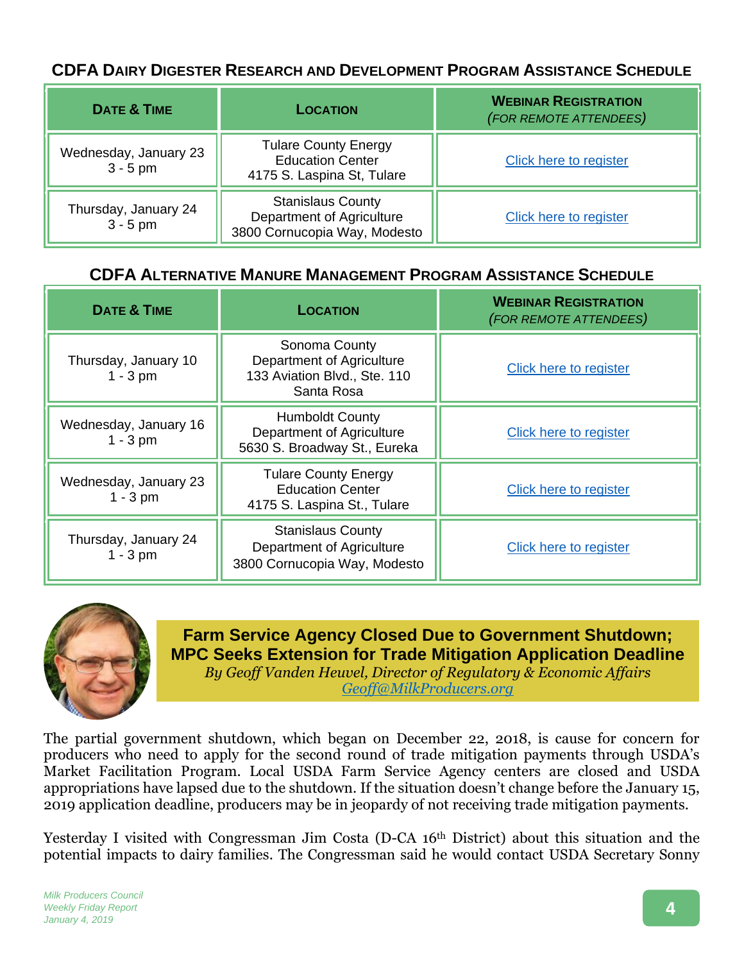## **CDFA DAIRY DIGESTER RESEARCH AND DEVELOPMENT PROGRAM ASSISTANCE SCHEDULE**

| <b>DATE &amp; TIME</b>              | <b>LOCATION</b>                                                                       | <b>WEBINAR REGISTRATION</b><br>(FOR REMOTE ATTENDEES) |  |
|-------------------------------------|---------------------------------------------------------------------------------------|-------------------------------------------------------|--|
| Wednesday, January 23<br>$3 - 5$ pm | <b>Tulare County Energy</b><br><b>Education Center</b><br>4175 S. Laspina St, Tulare  | Click here to register                                |  |
| Thursday, January 24<br>$3 - 5$ pm  | <b>Stanislaus County</b><br>Department of Agriculture<br>3800 Cornucopia Way, Modesto | Click here to register                                |  |

## **CDFA ALTERNATIVE MANURE MANAGEMENT PROGRAM ASSISTANCE SCHEDULE**

| <b>DATE &amp; TIME</b>              | <b>LOCATION</b>                                                                          | <b>WEBINAR REGISTRATION</b><br>(FOR REMOTE ATTENDEES) |  |
|-------------------------------------|------------------------------------------------------------------------------------------|-------------------------------------------------------|--|
| Thursday, January 10<br>$1 - 3$ pm  | Sonoma County<br>Department of Agriculture<br>133 Aviation Blvd., Ste. 110<br>Santa Rosa | Click here to register                                |  |
| Wednesday, January 16<br>$1 - 3$ pm | <b>Humboldt County</b><br>Department of Agriculture<br>5630 S. Broadway St., Eureka      | <b>Click here to register</b>                         |  |
| Wednesday, January 23<br>$1 - 3$ pm | <b>Tulare County Energy</b><br><b>Education Center</b><br>4175 S. Laspina St., Tulare    | <b>Click here to register</b>                         |  |
| Thursday, January 24<br>$1 - 3$ pm  | <b>Stanislaus County</b><br>Department of Agriculture<br>3800 Cornucopia Way, Modesto    | Click here to register                                |  |



## **Farm Service Agency Closed Due to Government Shutdown; MPC Seeks Extension for Trade Mitigation Application Deadline**

*By Geoff Vanden Heuvel, Director of Regulatory & Economic Affairs [Geoff@MilkProducers.org](mailto:Geoff@MilkProducers.org)*

The partial government shutdown, which began on December 22, 2018, is cause for concern for producers who need to apply for the second round of trade mitigation payments through USDA's Market Facilitation Program. Local USDA Farm Service Agency centers are closed and USDA appropriations have lapsed due to the shutdown. If the situation doesn't change before the January 15, 2019 application deadline, producers may be in jeopardy of not receiving trade mitigation payments.

Yesterday I visited with Congressman Jim Costa (D-CA 16th District) about this situation and the potential impacts to dairy families. The Congressman said he would contact USDA Secretary Sonny